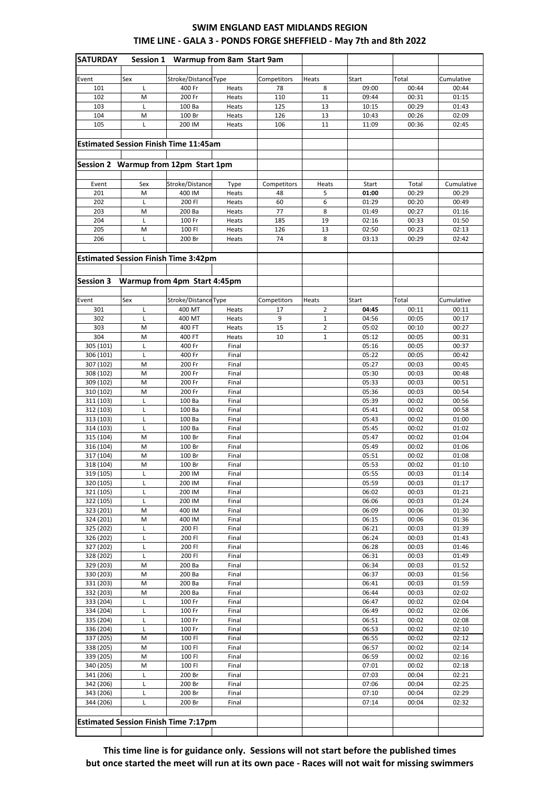## **SWIM ENGLAND EAST MIDLANDS REGION TIME LINE - GALA 3 - PONDS FORGE SHEFFIELD - May 7th and 8th 2022**

| <b>SATURDAY</b>                              | Session 1 | Warmup from 8am Start 9am                   |                |             |                |                |                |                |
|----------------------------------------------|-----------|---------------------------------------------|----------------|-------------|----------------|----------------|----------------|----------------|
|                                              |           |                                             |                |             |                |                |                |                |
| Event                                        | Sex       | Stroke/Distance Type                        |                | Competitors | Heats          | Start          | Total          | Cumulative     |
| 101                                          | L         | 400 Fr                                      | Heats          | 78          | 8              | 09:00          | 00:44          | 00:44          |
| 102                                          | M         | 200 Fr                                      | Heats          | 110         | 11             | 09:44          | 00:31          | 01:15          |
| 103                                          | L         | 100 Ba                                      | Heats          | 125         | 13             | 10:15          | 00:29          | 01:43          |
| 104                                          | M         | 100 Br                                      | Heats          | 126         | 13             | 10:43          | 00:26          | 02:09          |
| 105                                          | L         | 200 IM                                      | Heats          | 106         | 11             | 11:09          | 00:36          | 02:45          |
|                                              |           |                                             |                |             |                |                |                |                |
| <b>Estimated Session Finish Time 11:45am</b> |           |                                             |                |             |                |                |                |                |
|                                              |           |                                             |                |             |                |                |                |                |
|                                              |           | Session 2 Warmup from 12pm Start 1pm        |                |             |                |                |                |                |
| Event                                        | Sex       | Stroke/Distance                             | Type           | Competitors | Heats          | Start          | Total          | Cumulative     |
| 201                                          | M         | 400 IM                                      | Heats          | 48          | 5              | 01:00          | 00:29          | 00:29          |
| 202                                          | L         | 200 FI                                      | Heats          | 60          | 6              | 01:29          | 00:20          | 00:49          |
| 203                                          | M         | 200 Ba                                      | Heats          | 77          | 8              | 01:49          | 00:27          | 01:16          |
| 204                                          | L         | 100 Fr                                      | Heats          | 185         | 19             | 02:16          | 00:33          | 01:50          |
| 205                                          | M         | 100 FI                                      | Heats          | 126         | 13             | 02:50          | 00:23          | 02:13          |
| 206                                          | L         | 200 Br                                      | Heats          | 74          | 8              | 03:13          | 00:29          | 02:42          |
|                                              |           |                                             |                |             |                |                |                |                |
|                                              |           | <b>Estimated Session Finish Time 3:42pm</b> |                |             |                |                |                |                |
|                                              |           |                                             |                |             |                |                |                |                |
|                                              |           | Session 3 Warmup from 4pm Start 4:45pm      |                |             |                |                |                |                |
|                                              |           |                                             |                |             |                |                |                |                |
| Event                                        | Sex       | Stroke/Distance Type                        |                | Competitors | Heats          | Start          | Total          | Cumulative     |
| 301                                          | L         | 400 MT                                      | Heats          | 17          | $\overline{2}$ | 04:45          | 00:11          | 00:11          |
| 302                                          | L         | 400 MT                                      | Heats          | 9           | 1              | 04:56          | 00:05          | 00:17          |
| 303                                          | M         | 400 FT                                      | Heats          | 15          | $\overline{2}$ | 05:02          | 00:10          | 00:27          |
| 304<br>305 (101)                             | M         | 400 FT                                      | Heats          | 10          | $\mathbf 1$    | 05:12          | 00:05          | 00:31          |
| 306 (101)                                    | L<br>L    | 400 Fr<br>400 Fr                            | Final<br>Final |             |                | 05:16<br>05:22 | 00:05<br>00:05 | 00:37<br>00:42 |
| 307 (102)                                    | M         | 200 Fr                                      | Final          |             |                | 05:27          | 00:03          | 00:45          |
| 308 (102)                                    | M         | 200 Fr                                      | Final          |             |                | 05:30          | 00:03          | 00:48          |
| 309 (102)                                    | M         | 200 Fr                                      | Final          |             |                | 05:33          | 00:03          | 00:51          |
| 310 (102)                                    | M         | 200 Fr                                      | Final          |             |                | 05:36          | 00:03          | 00:54          |
| 311 (103)                                    | L         | 100 Ba                                      | Final          |             |                | 05:39          | 00:02          | 00:56          |
| 312 (103)                                    | L         | 100 Ba                                      | Final          |             |                | 05:41          | 00:02          | 00:58          |
| 313 (103)                                    | L         | 100 Ba                                      | Final          |             |                | 05:43          | 00:02          | 01:00          |
| 314 (103)                                    | L         | 100 Ba                                      | Final          |             |                | 05:45          | 00:02          | 01:02          |
| 315 (104)                                    | M         | 100 Br                                      | Final          |             |                | 05:47          | 00:02          | 01:04          |
| 316 (104)                                    | M         | 100 Br                                      | Final          |             |                | 05:49          | 00:02          | 01:06          |
| 317 (104)                                    | M         | 100 Br                                      | Final          |             |                | 05:51          | 00:02          | 01:08          |
| 318 (104)<br>319 (105)                       | M<br>L    | 100 Br<br>200 IM                            | Final<br>Final |             |                | 05:53<br>05:55 | 00:02<br>00:03 | 01:10<br>01:14 |
| 320 (105)                                    | Г         | 200 IM                                      | Final          |             |                | 05:59          | 00:03          | 01:17          |
| 321 (105)                                    | Г         | 200 IM                                      | Final          |             |                | 06:02          | 00:03          | 01:21          |
| 322 (105)                                    | Г         | 200 IM                                      | Final          |             |                | 06:06          | 00:03          | 01:24          |
| 323 (201)                                    | M         | 400 IM                                      | Final          |             |                | 06:09          | 00:06          | 01:30          |
| 324 (201)                                    | M         | 400 IM                                      | Final          |             |                | 06:15          | 00:06          | 01:36          |
| 325 (202)                                    | Г         | 200 FI                                      | Final          |             |                | 06:21          | 00:03          | 01:39          |
| 326 (202)                                    | L         | 200 FI                                      | Final          |             |                | 06:24          | 00:03          | 01:43          |
| 327 (202)                                    | Г         | 200 FI                                      | Final          |             |                | 06:28          | 00:03          | 01:46          |
| 328 (202)<br>329 (203)                       | L<br>M    | 200 FI<br>200 Ba                            | Final<br>Final |             |                | 06:31<br>06:34 | 00:03<br>00:03 | 01:49<br>01:52 |
| 330 (203)                                    | M         | 200 Ba                                      | Final          |             |                | 06:37          | 00:03          | 01:56          |
| 331 (203)                                    | M         | 200 Ba                                      | Final          |             |                | 06:41          | 00:03          | 01:59          |
| 332 (203)                                    | M         | 200 Ba                                      | Final          |             |                | 06:44          | 00:03          | 02:02          |
| 333 (204)                                    | L         | 100 Fr                                      | Final          |             |                | 06:47          | 00:02          | 02:04          |
| 334 (204)                                    | Г         | 100 Fr                                      | Final          |             |                | 06:49          | 00:02          | 02:06          |
| 335 (204)                                    | Г         | 100 Fr                                      | Final          |             |                | 06:51          | 00:02          | 02:08          |
| 336 (204)                                    | L         | 100 Fr                                      | Final          |             |                | 06:53          | 00:02          | 02:10          |
| 337 (205)                                    | M         | 100 FI                                      | Final          |             |                | 06:55          | 00:02          | 02:12          |
| 338 (205)                                    | M         | 100 FI                                      | Final          |             |                | 06:57          | 00:02          | 02:14          |
| 339 (205)                                    | M         | 100 FI                                      | Final          |             |                | 06:59          | 00:02          | 02:16          |
| 340 (205)                                    | M         | 100 FI                                      | Final          |             |                | 07:01          | 00:02          | 02:18          |
| 341 (206)<br>342 (206)                       | L<br>Г    | 200 Br<br>200 Br                            | Final<br>Final |             |                | 07:03<br>07:06 | 00:04<br>00:04 | 02:21<br>02:25 |
| 343 (206)                                    | Г         | 200 Br                                      | Final          |             |                | 07:10          | 00:04          | 02:29          |
| 344 (206)                                    | Г         | 200 Br                                      | Final          |             |                | 07:14          | 00:04          | 02:32          |
|                                              |           |                                             |                |             |                |                |                |                |
|                                              |           | <b>Estimated Session Finish Time 7:17pm</b> |                |             |                |                |                |                |
|                                              |           |                                             |                |             |                |                |                |                |

**This time line is for guidance only. Sessions will not start before the published times but once started the meet will run at its own pace - Races will not wait for missing swimmers**